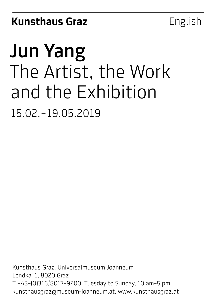# Jun Yang The Artist, the Work and the Exhibition 15.02.–19.05.2019

Kunsthaus Graz, Universalmuseum Joanneum Lendkai 1, 8020 Graz T +43–(0)316/8017–9200, Tuesday to Sunday, 10 am–5 pm kunsthausgraz@museum-joanneum.at, www.kunsthausgraz.at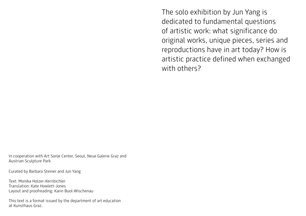The solo exhibition by Jun Yang is dedicated to fundamental questions of artistic work: what significance do original works, unique pieces, series and reproductions have in art today? How is artistic practice defined when exchanged with others?

In cooperation with Art Sonje Center, Seoul, Neue Galerie Graz and Austrian Sculpture Park

Curated by Barbara Steiner and Jun Yang

Text: Monika Holzer-Kernbichler Translation: Kate Howlett-Jones Layout and proofreading: Karin Buol-Wischenau

This text is a format issued by the department of art education at Kunsthaus Graz.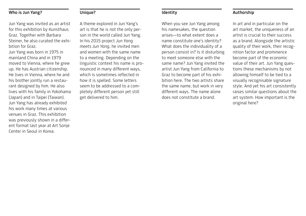# Who is Jun Yang?

Unique?

Jun Yang was invited as an artist for this exhibition by Kunsthaus Graz. Together with Barbara Steiner, he also curated the exhibition for Graz.

Jun Yang was born in 1975 in mainland China and in 1979 moved to Vienna, where he grew up. He has Austrian citizenship. He lives in Vienna, where he and his brother jointly run a restaurant designed by him. He also lives with his family in Yokohama (Japan) and in Taipei (Taiwan). Jun Yang has already exhibited his work many times at various venues in Graz. This exhibition was previously shown in a different format last year at Art Sonje Center in Seoul in Korea.

A theme explored in Jun Yang's art is that he is not the only person in the world called Jun Yang. In his 2015 project *Jun Yang meets Jun Yang*, he invited men and women with the same name to a meeting. Depending on the linguistic context his name is pronounced in many different ways, which is sometimes reflected in how it is spelled. Some letters seem to be addressed to a completely different person yet still get delivered to him.

## Identity

When you see Jun Yang among his namesakes, the question arises—to what extent does a name constitute one's identity? What does the individuality of a person consist in? Is it disturbing to meet someone else with the same name? Jun Yang invited the artist Jun Yang from California to Graz to become part of his exhibition here. The two artists share the same name, but work in very different ways. The name alone does not constitute a brand.

## Authorship

In art and in particular on the art market, the uniqueness of an artist is crucial to their success as a brand. Alongside the artistic quality of their work, their recognition factor and prominence become part of the economic value of their art. Jun Yang questions these mechanisms by not allowing himself to be tied to a visually recognisable signature style. And yet his art consistently raises similar questions about the art system. How important is the original here?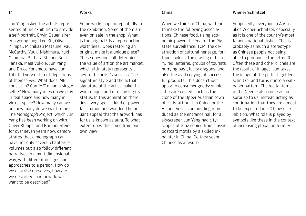#### I?

## **Works**

Jun Yang asked the artists represented at his exhibition to provide a self-portrait. Erwin Bauer, siren eun young jung, Lee Kit, Oliver Klimpel, Michikazu Matsune, Paul McCarthy, Yuuki Nishimura, Yuki Okomura, Barbara Steiner, Koki Tanaka, Maja Vukoje, Jun Yang and Bruce Yonemoto have contributed very different depictions of themselves. What does 'ME' consist in? Can 'ME' mean a single selfie? How many roles do we play in real space and how many in virtual space? How many can we be, how many do we want to be? *The Monograph Project*, which Jun Yang has been working on with Oliver Klimpel and Barbara Steiner for over seven years now, demonstrates that a monograph can have not only several chapters or volumes but also follow different narratives in a multidimensional way, with different designs and approaches to a person. How do we describe ourselves, how are we described, and how do we want to be described?

Some works appear repeatedly in the exhibition. Some of them are even on sale in the shop. What is the original? Is a reproduction worth less? Does restoring an original make it a unique piece? These questions all determine the value of art on the art market, which ultimately represents a key to the artist's success. The signature style and the actual signature of the artist make the work unique and rare, raising its status. In this admiration there lies a very special kind of power, a fascination and wonder. The brilliant appeal that the artwork has for us is known as aura. To what extent does this come from our own view?

### China

When we think of China, we tend to make the following associations: Chinese food, rising economic power, the Year of the Pig, state surveillance, TCM, the destruction of cultural heritage, fortune cookies, the erasing of history, red lanterns, groups of tourists hurrying past, lucky dragons, and also the avid copying of successful products. This doesn't just apply to consumer goods: whole cities are copied, such as the clone of the Upper Austrian town of Hallstatt built in China, or the Vienna Secession building reproduced as the entrance hall for a skyscraper. Jun Yang had cityscapes of Graz copied from classic postcard motifs by a skilled ink painter in China. Do they seem Chinese as a result?

# Wiener Schnitzel

Supposedly, everyone in Austria likes Wiener Schnitzel, especially as it is one of the country's most famous national dishes. This is probably as much a stereotype as Chinese people not being able to pronounce the letter 'R'. Often these and other clichés are the result of images. Jun takes the image of the perfect, golden schnitzel and turns it into a wallpaper pattern. The red lanterns in the Needle also come as no surprise to us, instead acting as confirmation that they are almost to be expected in a 'Chinese' exhibition. What role is played by symbols like these in the context of increasing global uniformity?